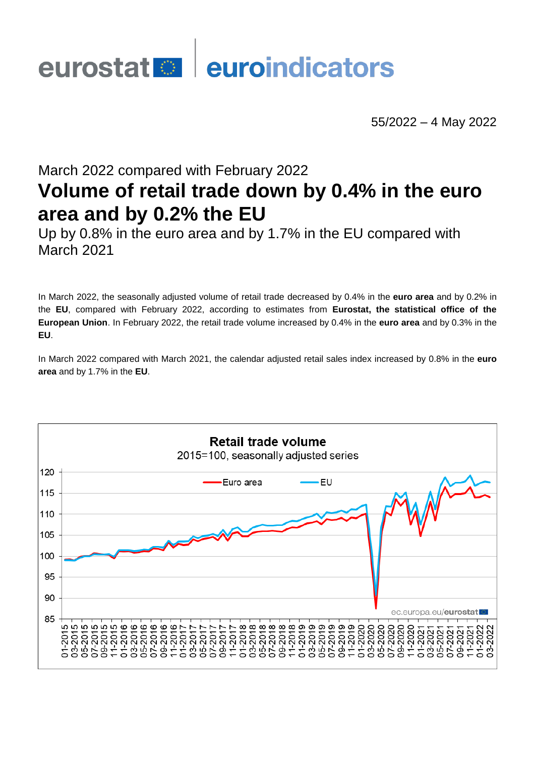# eurostat **de la euroindicators**

55/2022 – 4 May 2022

# March 2022 compared with February 2022 **Volume of retail trade down by 0.4% in the euro area and by 0.2% the EU**

Up by 0.8% in the euro area and by 1.7% in the EU compared with March 2021

In March 2022, the seasonally adjusted volume of retail trade decreased by 0.4% in the **euro area** and by 0.2% in the **EU**, compared with February 2022, according to estimates from **Eurostat, the statistical office of the European Union**. In February 2022, the retail trade volume increased by 0.4% in the **euro area** and by 0.3% in the **EU**.

In March 2022 compared with March 2021, the calendar adjusted retail sales index increased by 0.8% in the **euro area** and by 1.7% in the **EU**.

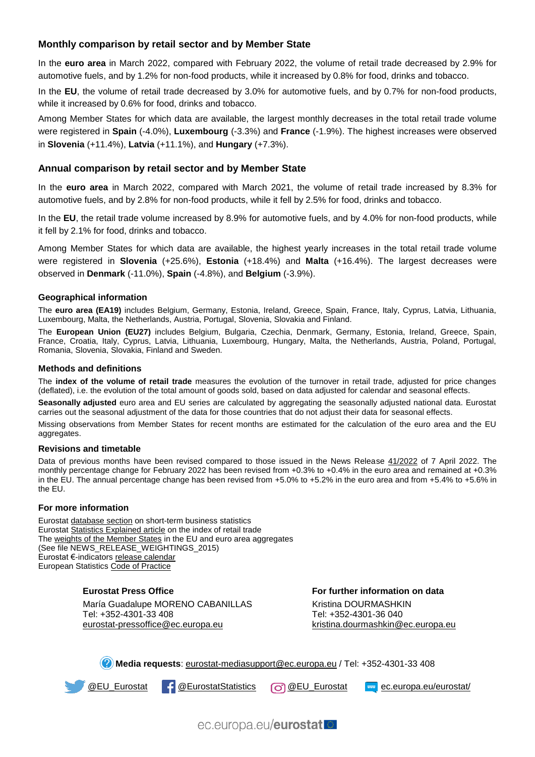## **Monthly comparison by retail sector and by Member State**

In the **euro area** in March 2022, compared with February 2022, the volume of retail trade decreased by 2.9% for automotive fuels, and by 1.2% for non-food products, while it increased by 0.8% for food, drinks and tobacco.

In the **EU**, the volume of retail trade decreased by 3.0% for automotive fuels, and by 0.7% for non-food products, while it increased by 0.6% for food, drinks and tobacco.

Among Member States for which data are available, the largest monthly decreases in the total retail trade volume were registered in **Spain** (-4.0%), **Luxembourg** (-3.3%) and **France** (-1.9%). The highest increases were observed in **Slovenia** (+11.4%), **Latvia** (+11.1%), and **Hungary** (+7.3%).

#### **Annual comparison by retail sector and by Member State**

In the **euro area** in March 2022, compared with March 2021, the volume of retail trade increased by 8.3% for automotive fuels, and by 2.8% for non-food products, while it fell by 2.5% for food, drinks and tobacco.

In the **EU**, the retail trade volume increased by 8.9% for automotive fuels, and by 4.0% for non-food products, while it fell by 2.1% for food, drinks and tobacco.

Among Member States for which data are available, the highest yearly increases in the total retail trade volume were registered in **Slovenia** (+25.6%), **Estonia** (+18.4%) and **Malta** (+16.4%). The largest decreases were observed in **Denmark** (-11.0%), **Spain** (-4.8%), and **Belgium** (-3.9%).

#### **Geographical information**

The **euro area (EA19)** includes Belgium, Germany, Estonia, Ireland, Greece, Spain, France, Italy, Cyprus, Latvia, Lithuania, Luxembourg, Malta, the Netherlands, Austria, Portugal, Slovenia, Slovakia and Finland.

The **European Union (EU27)** includes Belgium, Bulgaria, Czechia, Denmark, Germany, Estonia, Ireland, Greece, Spain, France, Croatia, Italy, Cyprus, Latvia, Lithuania, Luxembourg, Hungary, Malta, the Netherlands, Austria, Poland, Portugal, Romania, Slovenia, Slovakia, Finland and Sweden.

#### **Methods and definitions**

The **index of the volume of retail trade** measures the evolution of the turnover in retail trade, adjusted for price changes (deflated), i.e. the evolution of the total amount of goods sold, based on data adjusted for calendar and seasonal effects.

**Seasonally adjusted** euro area and EU series are calculated by aggregating the seasonally adjusted national data. Eurostat carries out the seasonal adjustment of the data for those countries that do not adjust their data for seasonal effects.

Missing observations from Member States for recent months are estimated for the calculation of the euro area and the EU aggregates.

#### **Revisions and timetable**

Data of previous months have been revised compared to those issued in the News Release [41/2022](https://ec.europa.eu/eurostat/documents/2995521/14497730/4-07042022-AP-EN.pdf/8a6fda4c-ed1e-b575-231d-4fec11863931) of 7 April 2022. The monthly percentage change for February 2022 has been revised from +0.3% to +0.4% in the euro area and remained at +0.3% in the EU. The annual percentage change has been revised from +5.0% to +5.2% in the euro area and from +5.4% to +5.6% in the EU.

#### **For more information**

Eurostat [database section](https://ec.europa.eu/eurostat/web/short-term-business-statistics/data/database) on short-term business statistics Eurostat [Statistics Explained article](https://ec.europa.eu/eurostat/statistics-explained/index.php/Retail_trade_volume_index_overview) on the index of retail trade Th[e weights of the Member States](https://circabc.europa.eu/w/browse/d72689ec-103e-41a8-81d1-2e5ea5f171f5) in the EU and euro area aggregates (See file NEWS\_RELEASE\_WEIGHTINGS\_2015) Eurostat €-indicators [release calendar](https://ec.europa.eu/eurostat/news/release-calendar) European Statistics [Code of Practice](https://ec.europa.eu/eurostat/web/products-catalogues/-/KS-02-18-142)

#### **Eurostat Press Office**

María Guadalupe MORENO CABANILLAS Tel: +352-4301-33 408 [eurostat-pressoffice@ec.europa.eu](mailto:eurostat-pressoffice@ec.europa.eu)

**For further information on data** Kristina DOURMASHKIN Tel: +352-4301-36 040 [kristina.dourmashkin@ec.europa.eu](mailto:kristina.dourmashkin@ec.europa.eu)

**Media requests**[: eurostat-mediasupport@ec.europa.eu](mailto:eurostat-mediasupport@ec.europa.eu) / Tel: +352-4301-33 408



[@EurostatStatistics](https://www.facebook.com/EurostatStatistics) **@EU\_Eurostat** www [ec.europa.eu/eurostat/](https://ec.europa.eu/eurostat/)

ec.europa.eu/eurostat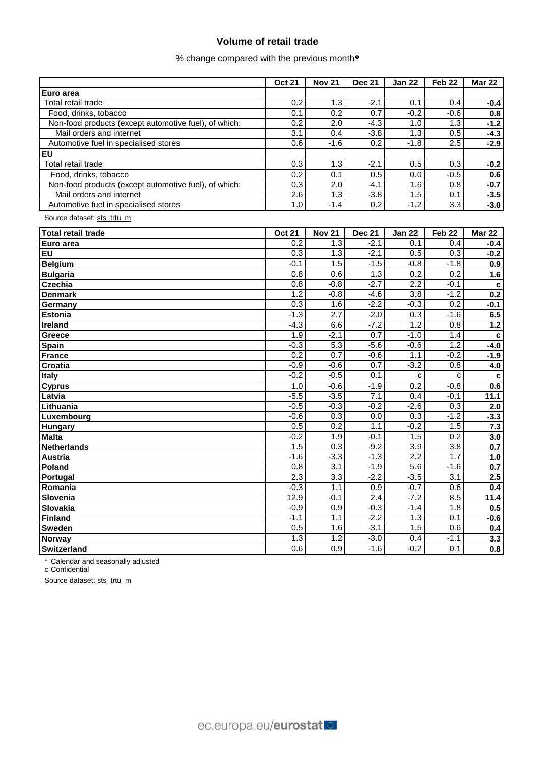# **Volume of retail trade**

% change compared with the previous month**\***

|                                                       | <b>Oct 21</b>    | <b>Nov 21</b>    | <b>Dec 21</b>     | <b>Jan 22</b>    | Feb <sub>22</sub> | <b>Mar 22</b> |
|-------------------------------------------------------|------------------|------------------|-------------------|------------------|-------------------|---------------|
| Euro area                                             |                  |                  |                   |                  |                   |               |
| Total retail trade                                    | 0.2              | 1.3              | $-2.1$            | 0.1              | 0.4               | $-0.4$        |
| Food, drinks, tobacco                                 | 0.1              | 0.2              | 0.7               | $-0.2$           | $-0.6$            | 0.8           |
| Non-food products (except automotive fuel), of which: | 0.2              | 2.0              | $-4.3$            | 1.0              | 1.3               | $-1.2$        |
| Mail orders and internet                              | 3.1              | 0.4              | $-3.8$            | 1.3              | 0.5               | $-4.3$        |
| Automotive fuel in specialised stores                 | 0.6              | $-1.6$           | 0.2               | $-1.8$           | 2.5               | $-2.9$        |
| <b>EU</b>                                             |                  |                  |                   |                  |                   |               |
| Total retail trade                                    | 0.3              | 1.3              | $-2.1$            | 0.5              | 0.3               | $-0.2$        |
| Food, drinks, tobacco                                 | 0.2              | 0.1              | 0.5               | 0.0              | $-0.5$            | 0.6           |
| Non-food products (except automotive fuel), of which: | 0.3              | 2.0              | $-4.1$            | 1.6              | 0.8               | $-0.7$        |
| Mail orders and internet                              | 2.6              | 1.3              | $-3.8$            | 1.5              | 0.1               | $-3.5$        |
| Automotive fuel in specialised stores                 | 1.0              | $-1.4$           | 0.2               | $-1.2$           | 3.3               | $-3.0$        |
| Source dataset: sts_trtu_m                            |                  |                  |                   |                  |                   |               |
| <b>Total retail trade</b>                             | <b>Oct 21</b>    | <b>Nov 21</b>    | <b>Dec 21</b>     | <b>Jan 22</b>    | Feb <sub>22</sub> | <b>Mar 22</b> |
| Euro area                                             | 0.2              | 1.3              | $-2.1$            | 0.1              | 0.4               | $-0.4$        |
| EU                                                    | 0.3              | 1.3              | $-2.1$            | 0.5              | 0.3               | $-0.2$        |
| <b>Belgium</b>                                        | $-0.1$           | 1.5              | $-1.5$            | $-0.8$           | $-1.8$            | 0.9           |
| <b>Bulgaria</b>                                       | 0.8              | 0.6              | 1.3               | 0.2              | 0.2               | 1.6           |
| <b>Czechia</b>                                        | 0.8              | $-0.8$           | $-2.7$            | $\overline{2.2}$ | $-0.1$            | c             |
| <b>Denmark</b>                                        | 1.2              | $-0.8$           | $-4.\overline{6}$ | 3.8              | $-1.2$            | 0.2           |
| Germany                                               | $\overline{0.3}$ | 1.6              | $-2.2$            | $-0.3$           | $\overline{0.2}$  | $-0.1$        |
| Estonia                                               | $-1.3$           | $\overline{2.7}$ | $-2.0$            | 0.3              | $-1.6$            | 6.5           |
| <b>Ireland</b>                                        | $-4.3$           | 6.6              | $-7.2$            | 1.2              | 0.8               | $1.2$         |
| Greece                                                | 1.9              | $-2.1$           | 0.7               | $-1.0$           | 1.4               | $\mathbf c$   |
| Spain                                                 | $-0.3$           | $\overline{5.3}$ | $-5.6$            | $-0.6$           | 1.2               | $-4.0$        |
| <b>France</b>                                         | 0.2              | 0.7              | $-0.6$            | 1.1              | $-0.2$            | $-1.9$        |
| <b>Croatia</b>                                        | $-0.9$           | $-0.6$           | 0.7               | $-3.2$           | 0.8               | 4.0           |
| Italy                                                 | $-0.2$           | $-0.5$           | 0.1               | C                | C                 | $\mathbf c$   |
| <b>Cyprus</b>                                         | 1.0              | $-0.6$           | $-1.9$            | 0.2              | $-0.8$            | 0.6           |
| Latvia                                                | $-5.5$           | $-3.5$           | 7.1               | 0.4              | $-0.1$            | 11.1          |
| Lithuania                                             | $-0.5$           | $-0.3$           | $-0.2$            | $-2.6$           | 0.3               | 2.0           |
| Luxembourg                                            | $-0.6$           | 0.3              | 0.0               | 0.3              | $-1.2$            | $-3.3$        |
| Hungary                                               | 0.5              | 0.2              | 1.1               | $-0.2$           | 1.5               | 7.3           |
| <b>Malta</b>                                          | $-0.2$           | 1.9              | $-0.1$            | 1.5              | 0.2               | 3.0           |
| <b>Netherlands</b>                                    | 1.5              | 0.3              | $-9.2$            | 3.9              | 3.8               | 0.7           |
| <b>Austria</b>                                        | $-1.6$           | $-3.3$           | $-1.3$            | 2.2              | 1.7               | 1.0           |
| Poland                                                | 0.8              | 3.1              | $-1.9$            | 5.6              | $-1.6$            | 0.7           |
| Portugal                                              | 2.3              | 3.3              | $-2.2$            | $-3.5$           | 3.1               | 2.5           |
| Romania                                               | $-0.3$           | 1.1              | 0.9               | $-0.7$           | 0.6               | 0.4           |
| Slovenia                                              | 12.9             | $-0.1$           | 2.4               | $-7.2$           | 8.5               | 11.4          |
| Slovakia                                              | $-0.9$           | 0.9              | $-0.3$            | $-1.4$           | 1.8               | 0.5           |
| <b>Finland</b>                                        | $-1.1$           | 1.1              | $-2.2$            | 1.3              | 0.1               | $-0.6$        |
| <b>Sweden</b>                                         | 0.5              | 1.6              | $-3.1$            | 1.5              | 0.6               | 0.4           |
| <b>Norway</b>                                         | 1.3              | 1.2              | $-3.0$            | 0.4              | $-1.1$            | 3.3           |
| <b>Switzerland</b>                                    | 0.6              | 0.9              | $-1.6$            | $-0.2$           | 0.1               | 0.8           |

\* Calendar and seasonally adjusted

c Confidential

Source dataset: [sts\\_trtu\\_m](https://ec.europa.eu/eurostat/databrowser/bookmark/ea6f63f5-a3fb-4d31-a300-754d2d9cbecd?lang=en)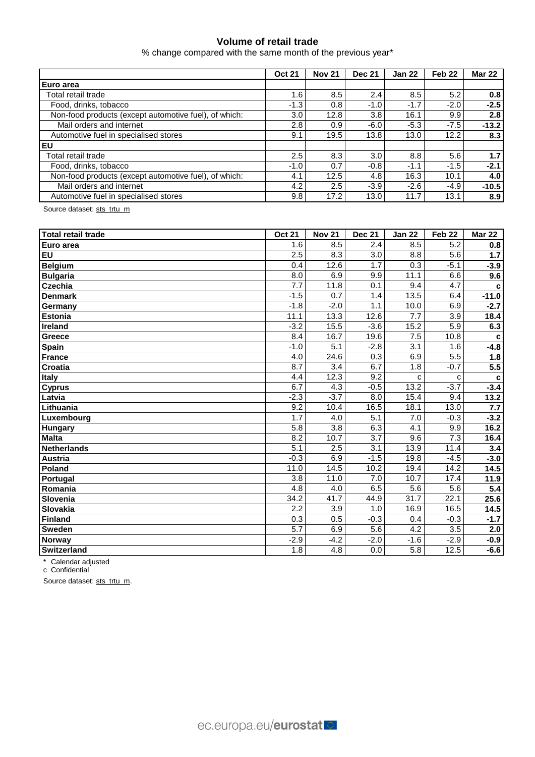## **Volume of retail trade**

% change compared with the same month of the previous year\*

|                                                       | <b>Oct 21</b>    | <b>Nov 21</b> | <b>Dec 21</b> | <b>Jan 22</b> | Feb <sub>22</sub> | <b>Mar 22</b> |
|-------------------------------------------------------|------------------|---------------|---------------|---------------|-------------------|---------------|
| Euro area                                             |                  |               |               |               |                   |               |
| Total retail trade                                    | 1.6              | 8.5           | 2.4           | 8.5           | 5.2               | 0.8           |
| Food, drinks, tobacco                                 | $-1.3$           | 0.8           | $-1.0$        | $-1.7$        | $-2.0$            | $-2.5$        |
| Non-food products (except automotive fuel), of which: | 3.0 <sub>2</sub> | 12.8          | 3.8           | 16.1          | 9.9               | 2.8           |
| Mail orders and internet                              | 2.8              | 0.9           | $-6.0$        | $-5.3$        | $-7.5$            | $-13.2$       |
| Automotive fuel in specialised stores                 | 9.1              | 19.5          | 13.8          | 13.0          | 12.2              | 8.3           |
| EU                                                    |                  |               |               |               |                   |               |
| Total retail trade                                    | 2.5              | 8.3           | 3.0           | 8.8           | 5.6               | 1.7           |
| Food, drinks, tobacco                                 | $-1.0$           | 0.7           | $-0.8$        | $-1.1$        | $-1.5$            | $-2.1$        |
| Non-food products (except automotive fuel), of which: | 4.1              | 12.5          | 4.8           | 16.3          | 10.1              | 4.0           |
| Mail orders and internet                              | 4.2              | 2.5           | $-3.9$        | $-2.6$        | $-4.9$            | $-10.5$       |
| Automotive fuel in specialised stores                 | 9.8              | 17.2          | 13.0          | 11.7          | 13.1              | 8.9           |

Source dataset: [sts\\_trtu\\_m](https://appsso.eurostat.ec.europa.eu/nui/show.do?query=BOOKMARK_DS-075757_QID_8629A1E_UID_-3F171EB0&layout=TIME,C,X,0;GEO,L,Y,0;NACE_R2,L,Y,1;INDIC_BT,L,Z,0;S_ADJ,L,Z,1;UNIT,L,Z,2;INDICATORS,C,Z,3;&zSelection=DS-075757INDIC_BT,TOVV;DS-075757UNIT,PCH_SM;DS-075757INDICATORS,OBS_FLAG;DS-075757S_ADJ,CA;&rankName1=UNIT_1_2_-1_2&rankName2=INDIC-BT_1_2_-1_2&rankName3=INDICATORS_1_2_-1_2&rankName4=S-ADJ_1_2_-1_2&rankName5=TIME_1_0_0_0&rankName6=GEO_1_0_0_1&rankName7=NACE-R2_1_0_1_1&sortR=ASC_-1_FIRST&sortC=ASC_-1_FIRST&rStp=&cStp=&rDCh=&cDCh=&rDM=true&cDM=true&footnes=false&empty=false&wai=false&time_mode=ROLLING&time_most_recent=false&lang=EN&cfo=%23%23%23%2C%23%23%23.%23%23%23)

| Total retail trade | <b>Oct 21</b>    | <b>Nov 21</b>    | <b>Dec 21</b>    | <b>Jan 22</b>    | Feb <sub>22</sub> | <b>Mar 22</b>    |
|--------------------|------------------|------------------|------------------|------------------|-------------------|------------------|
| Euro area          | 1.6              | 8.5              | 2.4              | 8.5              | 5.2               | 0.8              |
| EU                 | 2.5              | $\overline{8.3}$ | 3.0              | 8.8              | 5.6               | $1.7$            |
| <b>Belgium</b>     | 0.4              | 12.6             | 1.7              | 0.3              | $-5.1$            | $-3.9$           |
| <b>Bulgaria</b>    | 8.0              | 6.9              | 9.9              | 11.1             | 6.6               | 9.6              |
| Czechia            | 7.7              | 11.8             | 0.1              | 9.4              | 4.7               | C                |
| <b>Denmark</b>     | $-1.5$           | 0.7              | 1.4              | 13.5             | 6.4               | $-11.0$          |
| Germany            | $-1.8$           | $-2.0$           | 1.1              | 10.0             | 6.9               | $-2.7$           |
| Estonia            | 11.1             | 13.3             | 12.6             | 7.7              | 3.9               | 18.4             |
| Ireland            | $-3.2$           | 15.5             | $-3.6$           | 15.2             | 5.9               | 6.3              |
| Greece             | 8.4              | 16.7             | 19.6             | 7.5              | 10.8              | $\mathbf c$      |
| Spain              | $-1.0$           | $\overline{5.1}$ | $-2.8$           | $\overline{3.1}$ | 1.6               | $-4.8$           |
| <b>France</b>      | 4.0              | 24.6             | 0.3              | 6.9              | 5.5               | 1.8              |
| Croatia            | 8.7              | $\overline{3.4}$ | 6.7              | 1.8              | $-0.7$            | $\overline{5.5}$ |
| <b>Italy</b>       | 4.4              | 12.3             | $\overline{9.2}$ | с                | C                 | C                |
| <b>Cyprus</b>      | 6.7              | 4.3              | $-0.5$           | 13.2             | $-3.7$            | $-3.4$           |
| Latvia             | $-2.3$           | $-3.7$           | 8.0              | 15.4             | 9.4               | 13.2             |
| Lithuania          | 9.2              | 10.4             | 16.5             | 18.1             | 13.0              | 7.7              |
| Luxembourg         | 1.7              | 4.0              | 5.1              | 7.0              | $-0.3$            | $-3.2$           |
| Hungary            | 5.8              | 3.8              | 6.3              | 4.1              | 9.9               | 16.2             |
| <b>Malta</b>       | 8.2              | 10.7             | 3.7              | 9.6              | 7.3               | 16.4             |
| <b>Netherlands</b> | 5.1              | 2.5              | $\overline{3.1}$ | 13.9             | 11.4              | 3.4              |
| <b>Austria</b>     | $-0.3$           | 6.9              | $-1.5$           | 19.8             | $-4.5$            | $-3.0$           |
| Poland             | 11.0             | 14.5             | 10.2             | 19.4             | 14.2              | 14.5             |
| Portugal           | 3.8              | 11.0             | 7.0              | 10.7             | 17.4              | 11.9             |
| Romania            | $\overline{4.8}$ | 4.0              | 6.5              | 5.6              | 5.6               | 5.4              |
| Slovenia           | 34.2             | 41.7             | 44.9             | 31.7             | 22.1              | 25.6             |
| Slovakia           | 2.2              | 3.9              | 1.0              | 16.9             | 16.5              | 14.5             |
| <b>Finland</b>     | 0.3              | 0.5              | $-0.3$           | 0.4              | $-0.3$            | $-1.7$           |
| <b>Sweden</b>      | 5.7              | 6.9              | 5.6              | 4.2              | 3.5               | 2.0              |
| <b>Norway</b>      | $-2.9$           | $-4.2$           | $-2.0$           | $-1.6$           | $-2.9$            | $-0.9$           |
| <b>Switzerland</b> | 1.8              | $\overline{4.8}$ | $\overline{0.0}$ | 5.8              | 12.5              | $-6.6$           |

\* Calendar adjusted

c Confidential

Source dataset: [sts\\_trtu\\_m.](https://ec.europa.eu/eurostat/databrowser/bookmark/6f613190-058e-4320-af53-d1dee597cf5d?lang=en)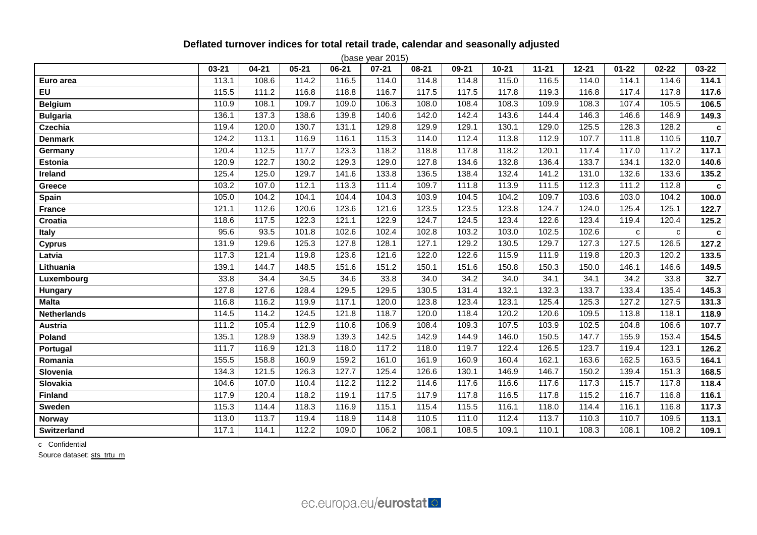# **Deflated turnover indices for total retail trade, calendar and seasonally adjusted**

| (base year 2015)   |           |           |           |       |           |           |       |           |                    |           |           |           |             |
|--------------------|-----------|-----------|-----------|-------|-----------|-----------|-------|-----------|--------------------|-----------|-----------|-----------|-------------|
|                    | $03 - 21$ | $04 - 21$ | $05 - 21$ | 06-21 | $07 - 21$ | $08 - 21$ | 09-21 | $10 - 21$ | $11 - 21$          | $12 - 21$ | $01 - 22$ | $02 - 22$ | 03-22       |
| Euro area          | 113.1     | 108.6     | 114.2     | 116.5 | 114.0     | 114.8     | 114.8 | 115.0     | 116.5              | 114.0     | 114.1     | 114.6     | 114.1       |
| EU                 | 115.5     | 111.2     | 116.8     | 118.8 | 116.7     | 117.5     | 117.5 | 117.8     | 119.3              | 116.8     | 117.4     | 117.8     | 117.6       |
| <b>Belgium</b>     | 110.9     | 108.1     | 109.7     | 109.0 | 106.3     | 108.0     | 108.4 | 108.3     | 109.9              | 108.3     | 107.4     | 105.5     | 106.5       |
| <b>Bulgaria</b>    | 136.1     | 137.3     | 138.6     | 139.8 | 140.6     | 142.0     | 142.4 | 143.6     | 144.4              | 146.3     | 146.6     | 146.9     | 149.3       |
| Czechia            | 119.4     | 120.0     | 130.7     | 131.1 | 129.8     | 129.9     | 129.1 | 130.1     | 129.0              | 125.5     | 128.3     | 128.2     | c           |
| <b>Denmark</b>     | 124.2     | 113.1     | 116.9     | 116.1 | 115.3     | 114.0     | 112.4 | 113.8     | 112.9              | 107.7     | 111.8     | 110.5     | 110.7       |
| Germany            | 120.4     | 112.5     | 117.7     | 123.3 | 118.2     | 118.8     | 117.8 | 118.2     | 120.1              | 117.4     | 117.0     | 117.2     | 117.1       |
| Estonia            | 120.9     | 122.7     | 130.2     | 129.3 | 129.0     | 127.8     | 134.6 | 132.8     | 136.4              | 133.7     | 134.1     | 132.0     | 140.6       |
| Ireland            | 125.4     | 125.0     | 129.7     | 141.6 | 133.8     | 136.5     | 138.4 | 132.4     | $\overline{141.2}$ | 131.0     | 132.6     | 133.6     | 135.2       |
| Greece             | 103.2     | 107.0     | 112.1     | 113.3 | 111.4     | 109.7     | 111.8 | 113.9     | 111.5              | 112.3     | 111.2     | 112.8     | $\mathbf c$ |
| Spain              | 105.0     | 104.2     | 104.1     | 104.4 | 104.3     | 103.9     | 104.5 | 104.2     | 109.7              | 103.6     | 103.0     | 104.2     | 100.0       |
| <b>France</b>      | 121.1     | 112.6     | 120.6     | 123.6 | 121.6     | 123.5     | 123.5 | 123.8     | 124.7              | 124.0     | 125.4     | 125.1     | 122.7       |
| Croatia            | 118.6     | 117.5     | 122.3     | 121.1 | 122.9     | 124.7     | 124.5 | 123.4     | 122.6              | 123.4     | 119.4     | 120.4     | 125.2       |
| <b>Italy</b>       | 95.6      | 93.5      | 101.8     | 102.6 | 102.4     | 102.8     | 103.2 | 103.0     | 102.5              | 102.6     | C         | C         | $\mathbf c$ |
| <b>Cyprus</b>      | 131.9     | 129.6     | 125.3     | 127.8 | 128.1     | 127.1     | 129.2 | 130.5     | 129.7              | 127.3     | 127.5     | 126.5     | 127.2       |
| Latvia             | 117.3     | 121.4     | 119.8     | 123.6 | 121.6     | 122.0     | 122.6 | 115.9     | 111.9              | 119.8     | 120.3     | 120.2     | 133.5       |
| Lithuania          | 139.1     | 144.7     | 148.5     | 151.6 | 151.2     | 150.1     | 151.6 | 150.8     | 150.3              | 150.0     | 146.1     | 146.6     | 149.5       |
| Luxembourg         | 33.8      | 34.4      | 34.5      | 34.6  | 33.8      | 34.0      | 34.2  | 34.0      | 34.1               | 34.1      | 34.2      | 33.8      | 32.7        |
| Hungary            | 127.8     | 127.6     | 128.4     | 129.5 | 129.5     | 130.5     | 131.4 | 132.1     | 132.3              | 133.7     | 133.4     | 135.4     | 145.3       |
| <b>Malta</b>       | 116.8     | 116.2     | 119.9     | 117.1 | 120.0     | 123.8     | 123.4 | 123.1     | 125.4              | 125.3     | 127.2     | 127.5     | 131.3       |
| <b>Netherlands</b> | 114.5     | 114.2     | 124.5     | 121.8 | 118.7     | 120.0     | 118.4 | 120.2     | 120.6              | 109.5     | 113.8     | 118.1     | 118.9       |
| <b>Austria</b>     | 111.2     | 105.4     | 112.9     | 110.6 | 106.9     | 108.4     | 109.3 | 107.5     | 103.9              | 102.5     | 104.8     | 106.6     | 107.7       |
| Poland             | 135.1     | 128.9     | 138.9     | 139.3 | 142.5     | 142.9     | 144.9 | 146.0     | 150.5              | 147.7     | 155.9     | 153.4     | 154.5       |
| <b>Portugal</b>    | 111.7     | 116.9     | 121.3     | 118.0 | 117.2     | 118.0     | 119.7 | 122.4     | 126.5              | 123.7     | 119.4     | 123.1     | 126.2       |
| Romania            | 155.5     | 158.8     | 160.9     | 159.2 | 161.0     | 161.9     | 160.9 | 160.4     | 162.1              | 163.6     | 162.5     | 163.5     | 164.1       |
| Slovenia           | 134.3     | 121.5     | 126.3     | 127.7 | 125.4     | 126.6     | 130.1 | 146.9     | 146.7              | 150.2     | 139.4     | 151.3     | 168.5       |
| Slovakia           | 104.6     | 107.0     | 110.4     | 112.2 | 112.2     | 114.6     | 117.6 | 116.6     | 117.6              | 117.3     | 115.7     | 117.8     | 118.4       |
| <b>Finland</b>     | 117.9     | 120.4     | 118.2     | 119.1 | 117.5     | 117.9     | 117.8 | 116.5     | 117.8              | 115.2     | 116.7     | 116.8     | 116.1       |
| Sweden             | 115.3     | 114.4     | 118.3     | 116.9 | 115.1     | 115.4     | 115.5 | 116.1     | 118.0              | 114.4     | 116.1     | 116.8     | 117.3       |
| Norway             | 113.0     | 113.7     | 119.4     | 118.9 | 114.8     | 110.5     | 111.0 | 112.4     | 113.7              | 110.3     | 110.7     | 109.5     | 113.1       |
| Switzerland        | 117.1     | 114.1     | 112.2     | 109.0 | 106.2     | 108.1     | 108.5 | 109.1     | 110.1              | 108.3     | 108.1     | 108.2     | 109.1       |

c Confidential

Source dataset: [sts\\_trtu\\_m](https://ec.europa.eu/eurostat/databrowser/bookmark/f7e41d1b-db5a-4526-9ff4-45c47b268961?lang=en)